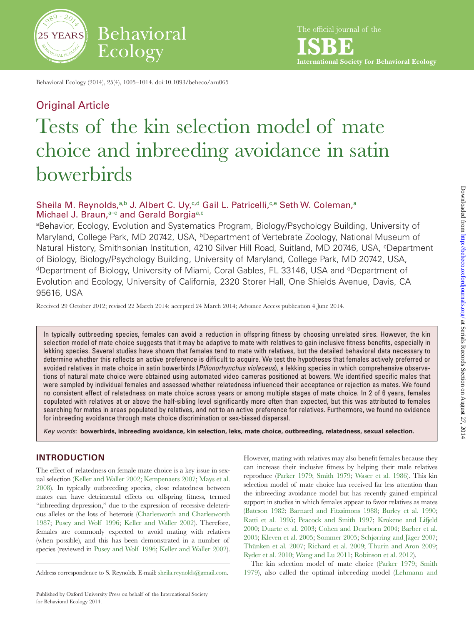

The official journal of the **ISBE International Society for Behavioral Ecology**

Behavioral Ecology (2014), 25(4), 1005–1014. doi:10.1093/beheco/aru065

## Original Article

# Tests of the kin selection model of mate choice and inbreeding avoidance in satin bowerbirds

## Sheila M. Reynolds,<sup>a[,b](#page-0-1)</sup> J. Albert C. Uy,<sup>c,[d](#page-0-3)</sup> Gail L. Patri[c](#page-0-2)elli,<sup>c[,e](#page-0-4)</sup> Seth W. Coleman,<sup>a</sup> Michael J. Braun,  $a-c$  and Gerald Borgia $a,c$  $a,c$

<span id="page-0-2"></span><span id="page-0-1"></span><span id="page-0-0"></span>aBehavior, Ecology, Evolution and Systematics Program, Biology/Psychology Building, University of Maryland, College Park, MD 20742, USA, <sup>b</sup>Department of Vertebrate Zoology, National Museum of Natural History, Smithsonian Institution, 4210 Silver Hill Road, Suitland, MD 20746, USA, *C*Department of Biology, Biology/Psychology Building, University of Maryland, College Park, MD 20742, USA, dDepartment of Biology, University of Miami, Coral Gables, FL 33146, USA and eDepartment of Evolution and Ecology, University of California, 2320 Storer Hall, One Shields Avenue, Davis, CA 95616, USA

<span id="page-0-4"></span><span id="page-0-3"></span>Received 29 October 2012; revised 22 March 2014; accepted 24 March 2014; Advance Access publication 4 June 2014.

In typically outbreeding species, females can avoid a reduction in offspring fitness by choosing unrelated sires. However, the kin selection model of mate choice suggests that it may be adaptive to mate with relatives to gain inclusive fitness benefits, especially in lekking species. Several studies have shown that females tend to mate with relatives, but the detailed behavioral data necessary to determine whether this reflects an active preference is difficult to acquire. We test the hypotheses that females actively preferred or avoided relatives in mate choice in satin bowerbirds (*Ptilonorhynchus violaceus*), a lekking species in which comprehensive observations of natural mate choice were obtained using automated video cameras positioned at bowers. We identified specific males that were sampled by individual females and assessed whether relatedness influenced their acceptance or rejection as mates. We found no consistent effect of relatedness on mate choice across years or among multiple stages of mate choice. In 2 of 6 years, females copulated with relatives at or above the half-sibling level significantly more often than expected, but this was attributed to females searching for mates in areas populated by relatives, and not to an active preference for relatives. Furthermore, we found no evidence for inbreeding avoidance through mate choice discrimination or sex-biased dispersal.

*Key words*: **bowerbirds, inbreeding avoidance, kin selection, leks, mate choice, outbreeding, relatedness, sexual selection.**

## **Introduction**

The effect of relatedness on female mate choice is a key issue in sexual selection [\(Keller and Waller 2002;](#page-8-0) [Kempenaers 2007](#page-8-1); [Mays et al.](#page-8-2) [2008\)](#page-8-2). In typically outbreeding species, close relatedness between mates can have detrimental effects on offspring fitness, termed "inbreeding depression," due to the expression of recessive deleterious alleles or the loss of heterosis ([Charlesworth and Charlesworth](#page-8-3) [1987;](#page-8-3) [Pusey and Wolf 1996;](#page-8-4) [Keller and Waller 2002\)](#page-8-0). Therefore, females are commonly expected to avoid mating with relatives (when possible), and this has been demonstrated in a number of species (reviewed in [Pusey and Wolf 1996](#page-8-4); [Keller and Waller 2002](#page-8-0)).

However, mating with relatives may also benefit females because they can increase their inclusive fitness by helping their male relatives reproduce ([Parker 1979](#page-8-5); [Smith 1979](#page-8-6); [Waser et al. 1986\)](#page-9-0). This kin selection model of mate choice has received far less attention than the inbreeding avoidance model but has recently gained empirical support in studies in which females appear to favor relatives as mates [\(Bateson 1982;](#page-8-7) [Barnard and Fitzsimons 1988;](#page-8-8) [Burley et al. 1990](#page-8-9); [Ratti et al. 1995;](#page-8-10) [Peacock and Smith 1997](#page-8-11); [Krokene and Lifjeld](#page-8-12) [2000;](#page-8-12) [Duarte et al. 2003](#page-8-13); [Cohen and Dearborn 2004](#page-8-14); [Barber et al.](#page-8-15) [2005;](#page-8-15) [Kleven et al. 2005;](#page-8-16) [Sommer 2005;](#page-8-17) [Schjørring and Jäger 2007](#page-8-18); [Thünken et al. 2007](#page-8-19); [Richard et al. 2009](#page-8-20); [Thurin and Aron 2009](#page-8-21); [Ryder et al. 2010](#page-8-22); [Wang and Lu 2011;](#page-9-1) [Robinson et al. 2012\)](#page-8-23).

The kin selection model of mate choice ([Parker 1979](#page-8-5); [Smith](#page-8-6) Address correspondence to S. Reynolds. E-mail: [sheila.reynolds@gmail.com](mailto:sheila.reynolds@gmail.com?subject=). [1979](#page-8-6)), also called the optimal inbreeding model [\(Lehmann and](#page-8-24)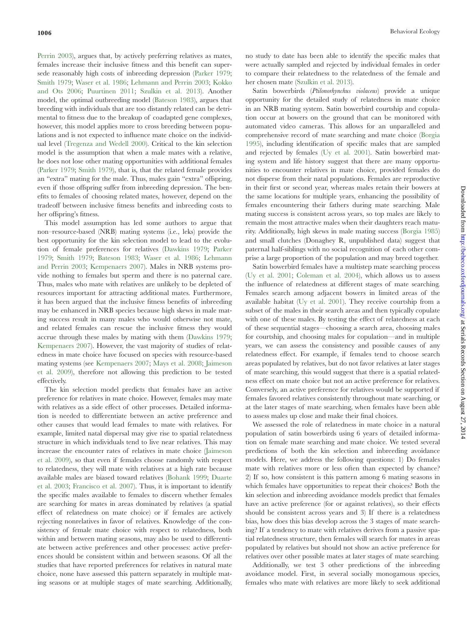[Perrin 2003](#page-8-24)), argues that, by actively preferring relatives as mates, females increase their inclusive fitness and this benefit can supersede reasonably high costs of inbreeding depression ([Parker 1979](#page-8-5); [Smith 1979;](#page-8-6) [Waser et al. 1986;](#page-9-0) [Lehmann and Perrin 2003;](#page-8-24) [Kokko](#page-8-25)  [and Ots 2006;](#page-8-25) [Puurtinen 2011](#page-8-26); [Szulkin et al. 2013](#page-8-27)). Another model, the optimal outbreeding model ([Bateson 1983](#page-8-28)), argues that breeding with individuals that are too distantly related can be detrimental to fitness due to the breakup of coadapted gene complexes, however, this model applies more to cross breeding between populations and is not expected to influence mate choice on the individual level ([Tregenza and Wedell 2000](#page-8-29)). Critical to the kin selection model is the assumption that when a male mates with a relative, he does not lose other mating opportunities with additional females [\(Parker 1979](#page-8-5); [Smith 1979\)](#page-8-6), that is, that the related female provides an "extra" mating for the male. Thus, males gain "extra" offspring, even if those offspring suffer from inbreeding depression. The benefits to females of choosing related mates, however, depend on the tradeoff between inclusive fitness benefits and inbreeding costs to her offspring's fitness.

This model assumption has led some authors to argue that non–resource-based (NRB) mating systems (i.e., leks) provide the best opportunity for the kin selection model to lead to the evolution of female preferences for relatives ([Dawkins 1979;](#page-8-30) [Parker](#page-8-5)  [1979;](#page-8-5) [Smith 1979;](#page-8-6) [Bateson 1983](#page-8-28); [Waser et al. 1986;](#page-9-0) [Lehmann](#page-8-24)  [and Perrin 2003;](#page-8-24) [Kempenaers 2007](#page-8-1)). Males in NRB systems provide nothing to females but sperm and there is no paternal care. Thus, males who mate with relatives are unlikely to be depleted of resources important for attracting additional mates. Furthermore, it has been argued that the inclusive fitness benefits of inbreeding may be enhanced in NRB species because high skews in male mating success result in many males who would otherwise not mate, and related females can rescue the inclusive fitness they would accrue through these males by mating with them ([Dawkins 1979](#page-8-30); [Kempenaers 2007\)](#page-8-1). However, the vast majority of studies of relatedness in mate choice have focused on species with resource-based mating systems (see [Kempenaers 2007;](#page-8-1) [Mays et al. 2008;](#page-8-2) [Jaimeson](#page-8-31)  [et al. 2009](#page-8-31)), therefore not allowing this prediction to be tested effectively.

The kin selection model predicts that females have an active preference for relatives in mate choice. However, females may mate with relatives as a side effect of other processes. Detailed information is needed to differentiate between an active preference and other causes that would lead females to mate with relatives. For example, limited natal dispersal may give rise to spatial relatedness structure in which individuals tend to live near relatives. This may increase the encounter rates of relatives in mate choice ([Jaimeson](#page-8-31)  [et al. 2009](#page-8-31)), so that even if females choose randomly with respect to relatedness, they will mate with relatives at a high rate because available males are biased toward relatives [\(Bohank 1999](#page-8-32); [Duarte](#page-8-13)  [et al. 2003;](#page-8-13) [Francisco et al. 2007](#page-8-33)). Thus, it is important to identify the specific males available to females to discern whether females are searching for mates in areas dominated by relatives (a spatial effect of relatedness on mate choice) or if females are actively rejecting nonrelatives in favor of relatives. Knowledge of the consistency of female mate choice with respect to relatedness, both within and between mating seasons, may also be used to differentiate between active preferences and other processes: active preferences should be consistent within and between seasons. Of all the studies that have reported preferences for relatives in natural mate choice, none have assessed this pattern separately in multiple mating seasons or at multiple stages of mate searching. Additionally, no study to date has been able to identify the specific males that were actually sampled and rejected by individual females in order to compare their relatedness to the relatedness of the female and her chosen mate ([Szulkin et al. 2013](#page-8-27)).

Satin bowerbirds (*Ptilonorhynchus violaceus*) provide a unique opportunity for the detailed study of relatedness in mate choice in an NRB mating system. Satin bowerbird courtship and copulation occur at bowers on the ground that can be monitored with automated video cameras. This allows for an unparalleled and comprehensive record of mate searching and mate choice ([Borgia](#page-8-34) [1995\)](#page-8-34), including identification of specific males that are sampled and rejected by females ([Uy et al. 2001\)](#page-9-2). Satin bowerbird mating system and life history suggest that there are many opportunities to encounter relatives in mate choice, provided females do not disperse from their natal populations. Females are reproductive in their first or second year, whereas males retain their bowers at the same locations for multiple years, enhancing the possibility of females encountering their fathers during mate searching. Male mating success is consistent across years, so top males are likely to remain the most attractive males when their daughters reach maturity. Additionally, high skews in male mating success [\(Borgia 1985](#page-8-35)) and small clutches (Donaghey R, unpublished data) suggest that paternal half-siblings with no social recognition of each other comprise a large proportion of the population and may breed together.

Satin bowerbird females have a multistep mate searching process ([Uy et al. 2001;](#page-9-2) [Coleman et al. 2004](#page-8-36)), which allows us to assess the influence of relatedness at different stages of mate searching. Females search among adjacent bowers in limited areas of the available habitat [\(Uy et al. 2001](#page-9-2)). They receive courtship from a subset of the males in their search areas and then typically copulate with one of these males. By testing the effect of relatedness at each of these sequential stages—choosing a search area, choosing males for courtship, and choosing males for copulation—and in multiple years, we can assess the consistency and possible causes of any relatedness effect. For example, if females tend to choose search areas populated by relatives, but do not favor relatives at later stages of mate searching, this would suggest that there is a spatial relatedness effect on mate choice but not an active preference for relatives. Conversely, an active preference for relatives would be supported if females favored relatives consistently throughout mate searching, or at the later stages of mate searching, when females have been able to assess males up close and make their final choices.

We assessed the role of relatedness in mate choice in a natural population of satin bowerbirds using 6 years of detailed information on female mate searching and mate choice. We tested several predictions of both the kin selection and inbreeding avoidance models. Here, we address the following questions: 1) Do females mate with relatives more or less often than expected by chance? 2) If so, how consistent is this pattern among 6 mating seasons in which females have opportunities to repeat their choices? Both the kin selection and inbreeding avoidance models predict that females have an active preference (for or against relatives), so their effects should be consistent across years and 3) If there is a relatedness bias, how does this bias develop across the 3 stages of mate searching? If a tendency to mate with relatives derives from a passive spatial relatedness structure, then females will search for mates in areas populated by relatives but should not show an active preference for relatives over other possible mates at later stages of mate searching.

Additionally, we test 3 other predictions of the inbreeding avoidance model. First, in several socially monogamous species, females who mate with relatives are more likely to seek additional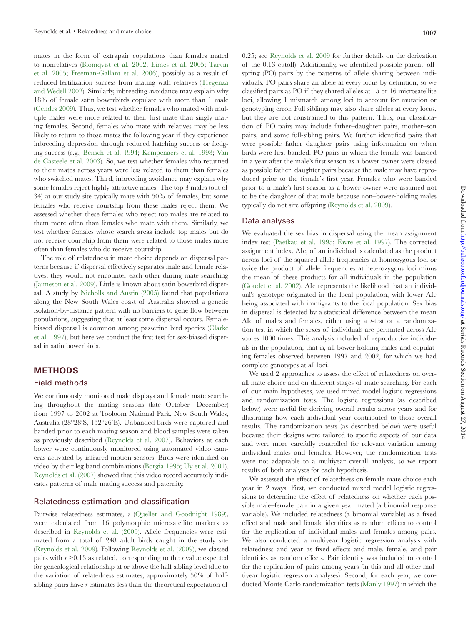mates in the form of extrapair copulations than females mated to nonrelatives ([Blomqvist et al. 2002](#page-8-37); [Eimes et al. 2005](#page-8-38); [Tarvin](#page-8-39) [et al. 2005](#page-8-39); [Freeman-Gallant et al. 2006](#page-8-40)), possibly as a result of reduced fertilization success from mating with relatives ([Tregenza](#page-9-3) [and Wedell 2002](#page-9-3)). Similarly, inbreeding avoidance may explain why 18% of female satin bowerbirds copulate with more than 1 male ([Cendes 2009\)](#page-8-41). Thus, we test whether females who mated with multiple males were more related to their first mate than singly mating females. Second, females who mate with relatives may be less likely to return to those mates the following year if they experience inbreeding depression through reduced hatching success or fledging success (e.g., [Bensch et al. 1994;](#page-8-42) [Kempenaers et al. 1998](#page-8-43); [Van](#page-9-4) [de Casteele et al. 2003\)](#page-9-4). So, we test whether females who returned to their mates across years were less related to them than females who switched mates. Third, inbreeding avoidance may explain why some females reject highly attractive males. The top 3 males (out of 34) at our study site typically mate with 50% of females, but some females who receive courtship from these males reject them. We assessed whether these females who reject top males are related to them more often than females who mate with them. Similarly, we test whether females whose search areas include top males but do not receive courtship from them were related to those males more often than females who do receive courtship.

The role of relatedness in mate choice depends on dispersal patterns because if dispersal effectively separates male and female relatives, they would not encounter each other during mate searching ([Jaimeson et al. 2009\)](#page-8-31). Little is known about satin bowerbird dispersal. A study by [Nicholls and Austin \(2005\)](#page-8-44) found that populations along the New South Wales coast of Australia showed a genetic isolation-by-distance pattern with no barriers to gene flow between populations, suggesting that at least some dispersal occurs. Femalebiased dispersal is common among passerine bird species [\(Clarke](#page-8-45) [et al. 1997\)](#page-8-45), but here we conduct the first test for sex-biased dispersal in satin bowerbirds.

## **Methods** Field methods

We continuously monitored male displays and female mate searching throughout the mating seasons (late October -December) from 1997 to 2002 at Tooloom National Park, New South Wales, Australia (28°28′S, 152°26′E). Unbanded birds were captured and banded prior to each mating season and blood samples were taken as previously described [\(Reynolds et al. 2007\)](#page-8-46). Behaviors at each bower were continuously monitored using automated video cameras activated by infrared motion sensors. Birds were identified on video by their leg band combinations [\(Borgia 1995;](#page-8-34) [Uy et al. 2001\)](#page-9-2). [Reynolds et al. \(2007\)](#page-8-46) showed that this video record accurately indicates patterns of male mating success and paternity.

#### Relatedness estimation and classification

Pairwise relatedness estimates, *r* ([Queller and Goodnight 1989\)](#page-8-47), were calculated from 16 polymorphic microsatellite markers as described in [Reynolds et al. \(2009\).](#page-8-48) Allele frequencies were estimated from a total of 248 adult birds caught in the study site ([Reynolds et al. 2009\)](#page-8-48). Following [Reynolds et al. \(2009\),](#page-8-48) we classed pairs with  $r \geq 0.13$  as related, corresponding to the *r* value expected for genealogical relationship at or above the half-sibling level (due to the variation of relatedness estimates, approximately 50% of halfsibling pairs have *r* estimates less than the theoretical expectation of

0.25; see [Reynolds et al. 2009](#page-8-48) for further details on the derivation of the 0.13 cutoff). Additionally, we identified possible parent–offspring (PO) pairs by the patterns of allele sharing between individuals. PO pairs share an allele at every locus by definition, so we classified pairs as PO if they shared alleles at 15 or 16 microsatellite loci, allowing 1 mismatch among loci to account for mutation or genotyping error. Full siblings may also share alleles at every locus, but they are not constrained to this pattern. Thus, our classification of PO pairs may include father–daughter pairs, mother–son pairs, and some full-sibling pairs. We further identified pairs that were possible father–daughter pairs using information on when birds were first banded. PO pairs in which the female was banded in a year after the male's first season as a bower owner were classed as possible father–daughter pairs because the male may have reproduced prior to the female's first year. Females who were banded prior to a male's first season as a bower owner were assumed not to be the daughter of that male because non–bower-holding males typically do not sire offspring [\(Reynolds et al. 2009\)](#page-8-48).

#### Data analyses

We evaluated the sex bias in dispersal using the mean assignment index test ([Paetkau et al. 1995](#page-8-49); [Favre et al. 1997\)](#page-8-50). The corrected assignment index, AIc, of an individual is calculated as the product across loci of the squared allele frequencies at homozygous loci or twice the product of allele frequencies at heterozygous loci minus the mean of these products for all individuals in the population [\(Goudet et al. 2002\)](#page-8-51). AIc represents the likelihood that an individual's genotype originated in the focal population, with lower AIc being associated with immigrants to the focal population. Sex bias in dispersal is detected by a statistical difference between the mean AIc of males and females, either using a *t*-test or a randomization test in which the sexes of individuals are permuted across AIc scores 1000 times. This analysis included all reproductive individuals in the population, that is, all bower-holding males and copulating females observed between 1997 and 2002, for which we had complete genotypes at all loci.

We used 2 approaches to assess the effect of relatedness on overall mate choice and on different stages of mate searching. For each of our main hypotheses, we used mixed model logistic regressions and randomization tests. The logistic regressions (as described below) were useful for deriving overall results across years and for illustrating how each individual year contributed to those overall results. The randomization tests (as described below) were useful because their designs were tailored to specific aspects of our data and were more carefully controlled for relevant variation among individual males and females. However, the randomization tests were not adaptable to a multiyear overall analysis, so we report results of both analyses for each hypothesis.

We assessed the effect of relatedness on female mate choice each year in 2 ways. First, we conducted mixed model logistic regressions to determine the effect of relatedness on whether each possible male–female pair in a given year mated (a binomial response variable). We included relatedness (a binomial variable) as a fixed effect and male and female identities as random effects to control for the replication of individual males and females among pairs. We also conducted a multiyear logistic regression analysis with relatedness and year as fixed effects and male, female, and pair identities as random effects. Pair identity was included to control for the replication of pairs among years (in this and all other multiyear logistic regression analyses). Second, for each year, we conducted Monte Carlo randomization tests [\(Manly 1997](#page-8-52)) in which the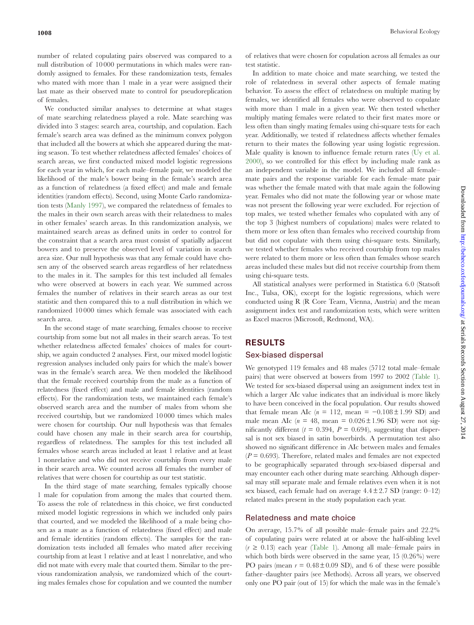number of related copulating pairs observed was compared to a null distribution of 10 000 permutations in which males were randomly assigned to females. For these randomization tests, females who mated with more than 1 male in a year were assigned their last mate as their observed mate to control for pseudoreplication of females.

We conducted similar analyses to determine at what stages of mate searching relatedness played a role. Mate searching was divided into 3 stages: search area, courtship, and copulation. Each female's search area was defined as the minimum convex polygon that included all the bowers at which she appeared during the mating season. To test whether relatedness affected females' choices of search areas, we first conducted mixed model logistic regressions for each year in which, for each male–female pair, we modeled the likelihood of the male's bower being in the female's search area as a function of relatedness (a fixed effect) and male and female identities (random effects). Second, using Monte Carlo randomization tests ([Manly 1997](#page-8-52)), we compared the relatedness of females to the males in their own search areas with their relatedness to males in other females' search areas. In this randomization analysis, we maintained search areas as defined units in order to control for the constraint that a search area must consist of spatially adjacent bowers and to preserve the observed level of variation in search area size. Our null hypothesis was that any female could have chosen any of the observed search areas regardless of her relatedness to the males in it. The samples for this test included all females who were observed at bowers in each year. We summed across females the number of relatives in their search areas as our test statistic and then compared this to a null distribution in which we randomized 10 000 times which female was associated with each search area.

In the second stage of mate searching, females choose to receive courtship from some but not all males in their search areas. To test whether relatedness affected females' choices of males for courtship, we again conducted 2 analyses. First, our mixed model logistic regression analyses included only pairs for which the male's bower was in the female's search area. We then modeled the likelihood that the female received courtship from the male as a function of relatedness (fixed effect) and male and female identities (random effects). For the randomization tests, we maintained each female's observed search area and the number of males from whom she received courtship, but we randomized 10 000 times which males were chosen for courtship. Our null hypothesis was that females could have chosen any male in their search area for courtship, regardless of relatedness. The samples for this test included all females whose search areas included at least 1 relative and at least 1 nonrelative and who did not receive courtship from every male in their search area. We counted across all females the number of relatives that were chosen for courtship as our test statistic.

In the third stage of mate searching, females typically choose 1 male for copulation from among the males that courted them. To assess the role of relatedness in this choice, we first conducted mixed model logistic regressions in which we included only pairs that courted, and we modeled the likelihood of a male being chosen as a mate as a function of relatedness (fixed effect) and male and female identities (random effects). The samples for the randomization tests included all females who mated after receiving courtship from at least 1 relative and at least 1 nonrelative, and who did not mate with every male that courted them. Similar to the previous randomization analysis, we randomized which of the courting males females chose for copulation and we counted the number of relatives that were chosen for copulation across all females as our test statistic.

In addition to mate choice and mate searching, we tested the role of relatedness in several other aspects of female mating behavior. To assess the effect of relatedness on multiple mating by females, we identified all females who were observed to copulate with more than 1 male in a given year. We then tested whether multiply mating females were related to their first mates more or less often than singly mating females using chi-square tests for each year. Additionally, we tested if relatedness affects whether females return to their mates the following year using logistic regression. Male quality is known to influence female return rates [\(Uy et al.](#page-9-5) [2000\)](#page-9-5), so we controlled for this effect by including male rank as an independent variable in the model. We included all female– mate pairs and the response variable for each female–mate pair was whether the female mated with that male again the following year. Females who did not mate the following year or whose mate was not present the following year were excluded. For rejection of top males, we tested whether females who copulated with any of the top 3 (highest numbers of copulations) males were related to them more or less often than females who received courtship from but did not copulate with them using chi-square tests. Similarly, we tested whether females who received courtship from top males were related to them more or less often than females whose search areas included these males but did not receive courtship from them using chi-square tests.

All statistical analyses were performed in Statistica 6.0 (Statsoft Inc., Tulsa, OK), except for the logistic regressions, which were conducted using R (R Core Team, Vienna, Austria) and the mean assignment index test and randomization tests, which were written as Excel macros (Microsoft, Redmond, WA).

### **Results** Sex-biased dispersal

We genotyped 119 females and 48 males (5712 total male–female pairs) that were observed at bowers from 1997 to 2002 ([Table 1](#page-4-0)). We tested for sex-biased dispersal using an assignment index test in which a larger AIc value indicates that an individual is more likely to have been conceived in the focal population. Our results showed that female mean AIc ( $n = 112$ , mean =  $-0.108 \pm 1.99$  SD) and male mean AIc ( $n = 48$ , mean =  $0.026 \pm 1.96$  SD) were not significantly different  $(t = 0.394, P = 0.694)$ , suggesting that dispersal is not sex biased in satin bowerbirds. A permutation test also showed no significant difference in AIc between males and females  $(P = 0.693)$ . Therefore, related males and females are not expected to be geographically separated through sex-biased dispersal and may encounter each other during mate searching. Although dispersal may still separate male and female relatives even when it is not sex biased, each female had on average  $4.4 \pm 2.7$  SD (range:  $0-12$ ) related males present in the study population each year.

#### Relatedness and mate choice

On average, 15.7% of all possible male–female pairs and 22.2% of copulating pairs were related at or above the half-sibling level  $(r \geq 0.13)$  each year (Table 1). Among all male–female pairs in which both birds were observed in the same year, 15 (0.26%) were PO pairs (mean  $r = 0.48 \pm 0.09$  SD), and 6 of these were possible father–daughter pairs (see Methods). Across all years, we observed only one PO pair (out of 15) for which the male was in the female's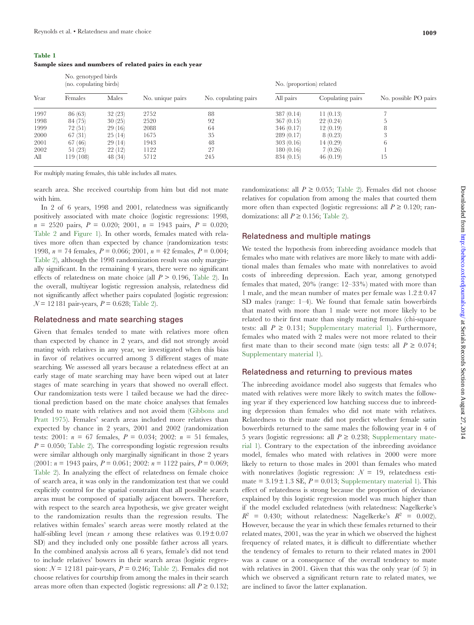#### <span id="page-4-0"></span>**Table 1**

#### **Sample sizes and numbers of related pairs in each year**

|      | No. genotyped birds<br>(no. copulating birds) |         |                  |                      | No. (proportion) related |                  |                       |
|------|-----------------------------------------------|---------|------------------|----------------------|--------------------------|------------------|-----------------------|
| Year | Females                                       | Males   | No. unique pairs | No. copulating pairs | All pairs                | Copulating pairs | No. possible PO pairs |
| 1997 | 86(63)                                        | 32(23)  | 2752             | 88                   | 387(0.14)                | 11(0.13)         |                       |
| 1998 | 84 (75)                                       | 30(25)  | 2520             | 92                   | 367(0.15)                | 22(0.24)         |                       |
| 1999 | 72(51)                                        | 29(16)  | 2088             | 64                   | 346(0.17)                | 12(0.19)         | 8                     |
| 2000 | 67(31)                                        | 25(14)  | 1675             | 35                   | 289(0.17)                | 8(0.23)          |                       |
| 2001 | 67(46)                                        | 29(14)  | 1943             | 48                   | 303(0.16)                | 14(0.29)         | 6                     |
| 2002 | 51(23)                                        | 22(12)  | 1122             | 27                   | 180(0.16)                | 7(0.26)          |                       |
| All  | 119 (108)                                     | 48 (34) | 5712             | 245                  | 834 (0.15)               | 46(0.19)         | 15                    |

For multiply mating females, this table includes all mates.

search area. She received courtship from him but did not mate with him.

In 2 of 6 years, 1998 and 2001, relatedness was significantly positively associated with mate choice (logistic regressions: 1998,  $n = 2520$  pairs,  $P = 0.020$ ; 2001,  $n = 1943$  pairs,  $P = 0.020$ ; [Table 2](#page-5-0) and [Figure 1\)](#page-6-0). In other words, females mated with relatives more often than expected by chance (randomization tests: 1998, *n* = 74 females, *P* = 0.066; 2001, *n* = 42 females, *P* = 0.004; [Table 2](#page-5-0)), although the 1998 randomization result was only marginally significant. In the remaining 4 years, there were no significant effects of relatedness on mate choice (all *P* > 0.196, [Table 2](#page-5-0)). In the overall, multiyear logistic regression analysis, relatedness did not significantly affect whether pairs copulated (logistic regression: *N* = 12181 pair-years, *P* = 0.628; [Table 2\)](#page-5-0).

#### Relatedness and mate searching stages

Given that females tended to mate with relatives more often than expected by chance in 2 years, and did not strongly avoid mating with relatives in any year, we investigated when this bias in favor of relatives occurred among 3 different stages of mate searching. We assessed all years because a relatedness effect at an early stage of mate searching may have been wiped out at later stages of mate searching in years that showed no overall effect. Our randomization tests were 1 tailed because we had the directional prediction based on the mate choice analyses that females tended to mate with relatives and not avoid them ([Gibbons and](#page-8-53) [Pratt 1975\)](#page-8-53). Females' search areas included more relatives than expected by chance in 2 years, 2001 and 2002 (randomization tests: 2001:  $n = 67$  females,  $P = 0.034$ ; 2002:  $n = 51$  females,  $P = 0.050$ ; [Table 2\)](#page-5-0). The corresponding logistic regression results were similar although only marginally significant in those 2 years (2001: *n* = 1943 pairs, *P* = 0.061; 2002: *n* = 1122 pairs, *P* = 0.069; [Table 2](#page-5-0)). In analyzing the effect of relatedness on female choice of search area, it was only in the randomization test that we could explicitly control for the spatial constraint that all possible search areas must be composed of spatially adjacent bowers. Therefore, with respect to the search area hypothesis, we give greater weight to the randomization results than the regression results. The relatives within females' search areas were mostly related at the half-sibling level (mean  $r$  among these relatives was  $0.19 \pm 0.07$ SD) and they included only one possible father across all years. In the combined analysis across all 6 years, female's did not tend to include relatives' bowers in their search areas (logistic regression: *N* = 12 181 pair-years, *P* = 0.246; [Table 2\)](#page-5-0). Females did not choose relatives for courtship from among the males in their search areas more often than expected (logistic regressions: all  $P \geq 0.132$ ; randomizations: all  $P \ge 0.055$ ; Table 2). Females did not choose relatives for copulation from among the males that courted them more often than expected (logistic regressions: all  $P \ge 0.120$ ; randomizations: all  $P \ge 0.156$ ; [Table 2\)](#page-5-0).

#### Relatedness and multiple matings

We tested the hypothesis from inbreeding avoidance models that females who mate with relatives are more likely to mate with additional males than females who mate with nonrelatives to avoid costs of inbreeding depression. Each year, among genotyped females that mated, 20% (range: 12–33%) mated with more than 1 male, and the mean number of mates per female was  $1.2 \pm 0.47$ SD males (range: 1–4). We found that female satin bowerbirds that mated with more than 1 male were not more likely to be related to their first mate than singly mating females (chi-square tests: all  $P \geq 0.131$ ; [Supplementary material 1](http://beheco.oxfordjournals.org/lookup/suppl/doi:10.1093/beheco/aru065/-/DC1)). Furthermore, females who mated with 2 males were not more related to their first mate than to their second mate (sign tests: all  $P \geq 0.074$ ; [Supplementary material 1](http://beheco.oxfordjournals.org/lookup/suppl/doi:10.1093/beheco/aru065/-/DC1)).

#### Relatedness and returning to previous mates

The inbreeding avoidance model also suggests that females who mated with relatives were more likely to switch mates the following year if they experienced low hatching success due to inbreeding depression than females who did not mate with relatives. Relatedness to their mate did not predict whether female satin bowerbirds returned to the same males the following year in 4 of 5 years (logistic regressions: all  $P \ge 0.238$ ; [Supplementary mate](http://beheco.oxfordjournals.org/lookup/suppl/doi:10.1093/beheco/aru065/-/DC1)[rial 1\)](http://beheco.oxfordjournals.org/lookup/suppl/doi:10.1093/beheco/aru065/-/DC1). Contrary to the expectation of the inbreeding avoidance model, females who mated with relatives in 2000 were more likely to return to those males in 2001 than females who mated with nonrelatives (logistic regression:  $N = 19$ , relatedness estimate =  $3.19 \pm 1.3$  SE,  $P = 0.013$ ; [Supplementary material 1](http://beheco.oxfordjournals.org/lookup/suppl/doi:10.1093/beheco/aru065/-/DC1)). This effect of relatedness is strong because the proportion of deviance explained by this logistic regression model was much higher than if the model excluded relatedness (with relatedness: Nagelkerke's  $R^2$  = 0.430; without relatedness: Nagelkerke's  $R^2$  = 0.002). However, because the year in which these females returned to their related mates, 2001, was the year in which we observed the highest frequency of related mates, it is difficult to differentiate whether the tendency of females to return to their related mates in 2001 was a cause or a consequence of the overall tendency to mate with relatives in 2001. Given that this was the only year (of 5) in which we observed a significant return rate to related mates, we are inclined to favor the latter explanation.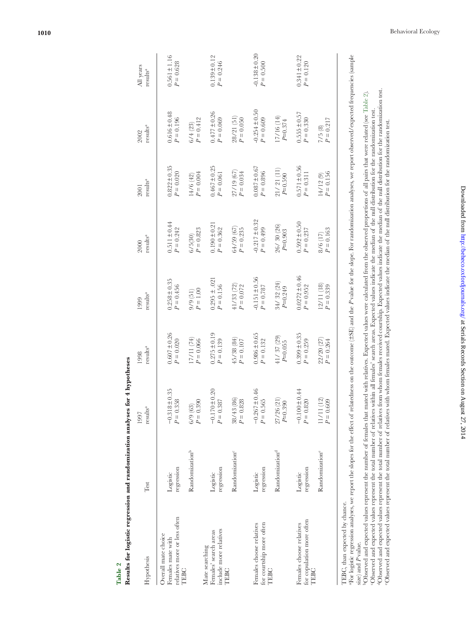| Hypothesis                                                                                                                                                                                                                                                          | Test                       | results <sup>a</sup><br>1997     | results <sup>a</sup><br>1998    | results <sup>a</sup><br>1999     | results <sup>a</sup><br>2000     | results <sup>a</sup><br>2001    | results <sup>a</sup><br>2002     | All years<br>results <sup>a</sup> |
|---------------------------------------------------------------------------------------------------------------------------------------------------------------------------------------------------------------------------------------------------------------------|----------------------------|----------------------------------|---------------------------------|----------------------------------|----------------------------------|---------------------------------|----------------------------------|-----------------------------------|
| relatives more or less often<br>Overall mate choice<br>Females mate with<br>TEBC                                                                                                                                                                                    | regression<br>Logistic     | $-0.318 \pm 0.35$<br>$P = 0.358$ | $0.607 \pm 0.26$<br>$P = 0.020$ | $0.258 \pm 0.35$<br>$P = 0.456$  | $0.511 \pm 0.44$<br>$P = 0.242$  | $0.822 \pm 0.35$<br>$P = 0.020$ | $0.616 \pm 0.48$<br>$P = 0.196$  | $0.561 \pm 1.16$<br>$P = 0.628$   |
|                                                                                                                                                                                                                                                                     | Randomization <sup>b</sup> | $P = 0.390$<br>6/9(63)           | 17/11 (74)<br>$P = 0.066$       | $P = 1.00$<br>9/9(51)            | $P = 0.823$<br>6/5(30)           | $P = 0.004$<br>14/6 (42)        | $P = 0.412$<br>6/4(23)           |                                   |
| include more relatives<br>Females' search areas<br>Mate searching                                                                                                                                                                                                   | regression<br>Logistic     | $-0.170 \pm 0.20$<br>$P = 0.387$ | $0.275 \pm 0.19$<br>$P = 0.139$ | $0.295 \pm .021$<br>$P = 0.156$  | $0.190 \pm 0.2$<br>$P = 0.362$   | $0.467 \pm 0.25$<br>$P = 0.061$ | $0.477 \pm 0.26$<br>$P = 0.069$  | $0.139 \pm 0.12$<br>$P = 0.246$   |
| TEBC                                                                                                                                                                                                                                                                | Randomization <sup>c</sup> | (86)<br>$P = 0.828$<br>38/43     | 45/38 (84)<br>$P = 0.107$       | 41/33(72)<br>$P = 0.072$         | 64/59(67)<br>$P = 0.235$         | 27/19 (67)<br>$P = 0.034$       | 28/21(51)<br>$P = 0.050$         |                                   |
| for courtship more often<br>Females choose relatives                                                                                                                                                                                                                | regression<br>Logistic     | $-0.267 \pm 0.46$<br>$P = 0.565$ | $0.986 \pm 0.65$<br>$P = 0.132$ | $-0.151 \pm 0.56$<br>$P = 0.787$ | $-0.217 \pm 0.32$<br>$P = 0.499$ | $0.087 \pm 0.67$<br>$P = 0.896$ | $-0.254 \pm 0.50$<br>$P = 0.609$ | $-0.138 \pm 0.20$<br>$P = 0.500$  |
| TEBC                                                                                                                                                                                                                                                                | Randomization <sup>d</sup> | (21)<br>$P=0.390$<br>27/26       | 41/37(29)<br>$P=0.055$          | 34/32 (24)<br>$P = 0.249$        | 26/30 (26)<br>$P = 0.903$        | 21/21(11)<br>$P = 0.590$        | 17/16 (14)<br>$P = 0.374$        |                                   |
| for copulation more often<br>Females choose relatives                                                                                                                                                                                                               | regression<br>Logistic     | $-0.100 \pm 0.44$<br>$P = 0.820$ | $0.399 \pm 0.35$<br>$P = 0.259$ | $0.0272 \pm 0.46$<br>$P = 0.952$ | $0.592 \pm 0.50$<br>$P = 0.237$  | $0.571 \pm 0.56$<br>$P = 0.311$ | $0.555 \pm 0.57$<br>$P = 0.330$  | $0.341 \pm 0.22$<br>$P = 0.120$   |
| TEBC                                                                                                                                                                                                                                                                | Randomization <sup>e</sup> | 11/11(12)<br>$P = 0.609$         | 22/20 (27)<br>$P = 0.264$       | 12/11 (18)<br>$P = 0.339$        | $P = 0.163$<br>8/6(17)           | $P = 0.156$<br>14/12(9)         | $P = 0.217$<br>7/5(8)            |                                   |
| <sup>3</sup> For logistic regression analyses, we report the slopes for the effect of relatedness on the outcome (±SE) and the P value for the slope. For randomization analyses, we report observed/expected frequencies (sample<br>TEBC, than expected by chance. |                            |                                  |                                 |                                  |                                  |                                 |                                  |                                   |

**Results for logistic regression and randomization analyses for 4 hypotheses**  Results for logistic regression and randomization analyses for 4 hypotheses

<span id="page-5-0"></span>**Table 2**

aFor logistic regression analyses, we report the slopes for the effect of relatedness on the outcome (±SE) and the *P* value for the slope. For randomization analyses, we report observed/expected frequencies (sample size) and P value. size) and *P* value.

"Observed and expected values represent the number of females that mated with relatives. Expected values were calculated from the observed proportions of all pairs that were related (see Table 2).<br>"Observed and expected va dObserved and expected values represent the total number of relatives from whom females received courtship. Expected values indicate the median of the null distribution for the randomization test. bObserved and expected values represent the number of females that mated with relatives. Expected values were calculated from the observed proportions of all pairs that were related (see [Table 2](#page-5-0)). cObserved and expected values represent the total number of relatives within all females' search areas. Expected values indicate the median of the null distribution for the randomization test. eObserved and expected values represent the total number of relatives with whom females mated. Expected values indicate the median of the null distribution for the randomization test.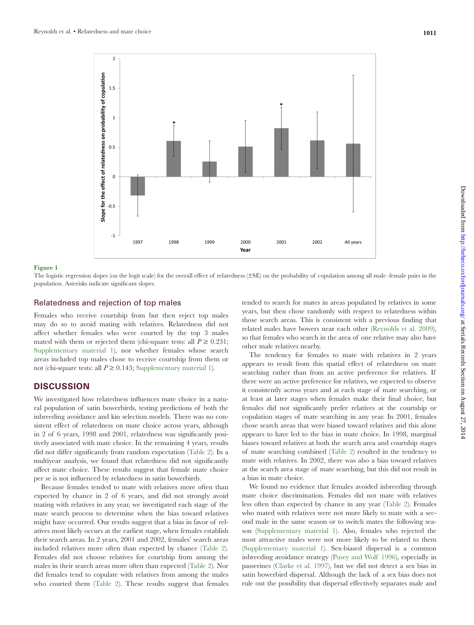

#### Figure 1

The logistic regression slopes (on the logit scale) for the overall effect of relatedness ( $\pm$ SE) on the probability of copulation among all male–female pairs in the population. Asterisks indicate significant slopes.

#### Relatedness and rejection of top males

Females who receive courtship from but then reject top males may do so to avoid mating with relatives. Relatedness did not affect whether females who were courted by the top 3 males mated with them or rejected them (chi-square tests: all  $P \geq 0.231$ ; [Supplementary material 1](http://beheco.oxfordjournals.org/lookup/suppl/doi:10.1093/beheco/aru065/-/DC1)), nor whether females whose search areas included top males chose to receive courtship from them or not (chi-square tests: all  $P \ge 0.143$ ; [Supplementary material 1](http://beheco.oxfordjournals.org/lookup/suppl/doi:10.1093/beheco/aru065/-/DC1)).

#### **Discussion**

We investigated how relatedness influences mate choice in a natural population of satin bowerbirds, testing predictions of both the inbreeding avoidance and kin selection models. There was no consistent effect of relatedness on mate choice across years, although in 2 of 6 years, 1998 and 2001, relatedness was significantly positively associated with mate choice. In the remaining 4 years, results did not differ significantly from random expectation ([Table 2](#page-5-0)). In a multiyear analysis, we found that relatedness did not significantly affect mate choice. These results suggest that female mate choice per se is not influenced by relatedness in satin bowerbirds.

Because females tended to mate with relatives more often than expected by chance in 2 of 6 years, and did not strongly avoid mating with relatives in any year, we investigated each stage of the mate search process to determine when the bias toward relatives might have occurred. Our results suggest that a bias in favor of relatives most likely occurs at the earliest stage, when females establish their search areas. In 2 years, 2001 and 2002, females' search areas included relatives more often than expected by chance [\(Table 2\)](#page-5-0). Females did not choose relatives for courtship from among the males in their search areas more often than expected ([Table 2\)](#page-5-0). Nor did females tend to copulate with relatives from among the males who courted them [\(Table 2\)](#page-5-0). These results suggest that females <span id="page-6-0"></span>tended to search for mates in areas populated by relatives in some years, but then chose randomly with respect to relatedness within those search areas. This is consistent with a previous finding that related males have bowers near each other ([Reynolds et al. 2009\)](#page-8-48), so that females who search in the area of one relative may also have other male relatives nearby.

The tendency for females to mate with relatives in 2 years appears to result from this spatial effect of relatedness on mate searching rather than from an active preference for relatives. If there were an active preference for relatives, we expected to observe it consistently across years and at each stage of mate searching, or at least at later stages when females make their final choice, but females did not significantly prefer relatives at the courtship or copulation stages of mate searching in any year. In 2001, females chose search areas that were biased toward relatives and this alone appears to have led to the bias in mate choice. In 1998, marginal biases toward relatives at both the search area and courtship stages of mate searching combined [\(Table 2](#page-5-0)) resulted in the tendency to mate with relatives. In 2002, there was also a bias toward relatives at the search area stage of mate searching, but this did not result in a bias in mate choice.

We found no evidence that females avoided inbreeding through mate choice discrimination. Females did not mate with relatives less often than expected by chance in any year [\(Table 2\)](#page-5-0). Females who mated with relatives were not more likely to mate with a second male in the same season or to switch mates the following season [\(Supplementary material 1\)](http://beheco.oxfordjournals.org/lookup/suppl/doi:10.1093/beheco/aru065/-/DC1). Also, females who rejected the most attractive males were not more likely to be related to them [\(Supplementary material 1](http://beheco.oxfordjournals.org/lookup/suppl/doi:10.1093/beheco/aru065/-/DC1)). Sex-biased dispersal is a common inbreeding avoidance strategy ([Pusey and Wolf 1996\)](#page-8-4), especially in passerines ([Clarke et al. 1997](#page-8-45)), but we did not detect a sex bias in satin bowerbird dispersal. Although the lack of a sex bias does not rule out the possibility that dispersal effectively separates male and

**1011**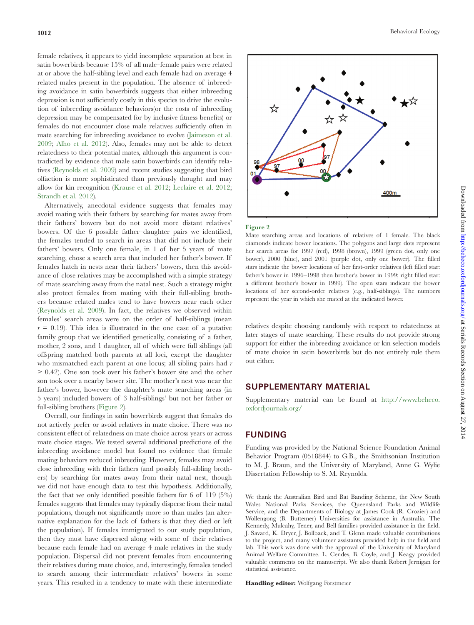female relatives, it appears to yield incomplete separation at best in satin bowerbirds because 15% of all male–female pairs were related at or above the half-sibling level and each female had on average 4 related males present in the population. The absence of inbreeding avoidance in satin bowerbirds suggests that either inbreeding depression is not sufficiently costly in this species to drive the evolution of inbreeding avoidance behaviors(or the costs of inbreeding depression may be compensated for by inclusive fitness benefits) or females do not encounter close male relatives sufficiently often in mate searching for inbreeding avoidance to evolve ([Jaimeson et al.](#page-8-31)  [2009;](#page-8-31) [Alho et al. 2012\)](#page-8-54). Also, females may not be able to detect relatedness to their potential mates, although this argument is contradicted by evidence that male satin bowerbirds can identify relatives ([Reynolds et al. 2009\)](#page-8-48) and recent studies suggesting that bird olfaction is more sophisticated than previously thought and may allow for kin recognition ([Krause et al. 2012;](#page-8-55) [Leclaire et al. 2012](#page-8-56); [Strandh et al. 2012\)](#page-8-57).

Alternatively, anecdotal evidence suggests that females may avoid mating with their fathers by searching for mates away from their fathers' bowers but do not avoid more distant relatives' bowers. Of the 6 possible father–daughter pairs we identified, the females tended to search in areas that did not include their fathers' bowers. Only one female, in 1 of her 5 years of mate searching, chose a search area that included her father's bower. If females hatch in nests near their fathers' bowers, then this avoidance of close relatives may be accomplished with a simple strategy of mate searching away from the natal nest. Such a strategy might also protect females from mating with their full-sibling brothers because related males tend to have bowers near each other [\(Reynolds et al. 2009](#page-8-48)). In fact, the relatives we observed within females' search areas were on the order of half-siblings (mean  $r = 0.19$ ). This idea is illustrated in the one case of a putative family group that we identified genetically, consisting of a father, mother, 2 sons, and 1 daughter, all of which were full siblings (all offspring matched both parents at all loci, except the daughter who mismatched each parent at one locus; all sibling pairs had *r*  $\geq$  0.42). One son took over his father's bower site and the other son took over a nearby bower site. The mother's nest was near the father's bower, however the daughter's mate searching areas (in 5 years) included bowers of 3 half-siblings' but not her father or full-sibling brothers ([Figure 2\)](#page-7-0).

Overall, our findings in satin bowerbirds suggest that females do not actively prefer or avoid relatives in mate choice. There was no consistent effect of relatedness on mate choice across years or across mate choice stages. We tested several additional predictions of the inbreeding avoidance model but found no evidence that female mating behaviors reduced inbreeding. However, females may avoid close inbreeding with their fathers (and possibly full-sibling brothers) by searching for mates away from their natal nest, though we did not have enough data to test this hypothesis. Additionally, the fact that we only identified possible fathers for 6 of 119 (5%) females suggests that females may typically disperse from their natal populations, though not significantly more so than males (an alternative explanation for the lack of fathers is that they died or left the population). If females immigrated to our study population, then they must have dispersed along with some of their relatives because each female had on average 4 male relatives in the study population. Dispersal did not prevent females from encountering their relatives during mate choice, and, interestingly, females tended to search among their intermediate relatives' bowers in some years. This resulted in a tendency to mate with these intermediate



#### <span id="page-7-0"></span>Figure 2

Mate searching areas and locations of relatives of 1 female. The black diamonds indicate bower locations. The polygons and large dots represent her search areas for 1997 (red), 1998 (brown), 1999 (green dot, only one bower), 2000 (blue), and 2001 (purple dot, only one bower). The filled stars indicate the bower locations of her first-order relatives (left filled star: father's bower in 1996–1998 then brother's bower in 1999; right filled star: a different brother's bower in 1999). The open stars indicate the bower locations of her second-order relatives (e.g., half-siblings). The numbers represent the year in which she mated at the indicated bower.

relatives despite choosing randomly with respect to relatedness at later stages of mate searching. These results do not provide strong support for either the inbreeding avoidance or kin selection models of mate choice in satin bowerbirds but do not entirely rule them out either.

#### **Supplementary Material**

Supplementary material can be found at [http://www.beheco.](http://beheco.oxfordjournals.org/lookup/suppl/doi:10.1093/beheco/aru065/-/DC1) [oxfordjournals.org/](http://beheco.oxfordjournals.org/lookup/suppl/doi:10.1093/beheco/aru065/-/DC1)

#### **Funding**

Funding was provided by the National Science Foundation Animal Behavior Program (0518844) to G.B., the Smithsonian Institution to M. J. Braun, and the University of Maryland, Anne G. Wylie Dissertation Fellowship to S. M. Reynolds.

We thank the Australian Bird and Bat Banding Scheme, the New South Wales National Parks Services, the Queensland Parks and Wildlife Service, and the Departments of Biology at James Cook (R. Crozier) and Wollengong (B. Buttemer) Universities for assistance in Australia. The Kennedy, Mulcahy, Tener, and Bell families provided assistance in the field. J. Savard, K. Dryer, J. Bollback, and T. Glenn made valuable contributions to the project, and many volunteer assistants provided help in the field and lab. This work was done with the approval of the University of Maryland Animal Welfare Committee. L. Cendes, B. Coyle, and J. Keagy provided valuable comments on the manuscript. We also thank Robert Jernigan for statistical assistance.

**Handling editor:** Wolfgang Forstmeier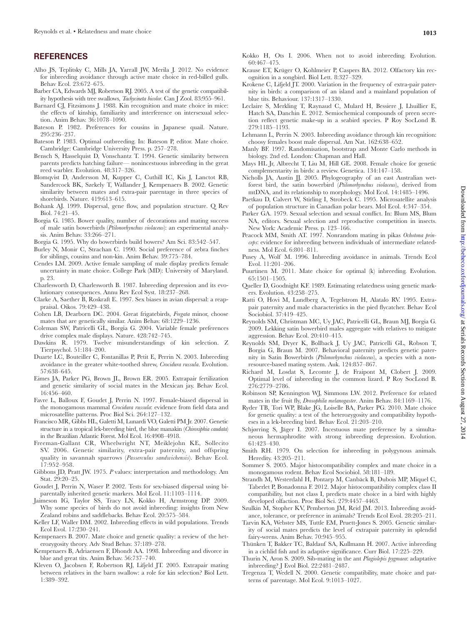#### **References**

- <span id="page-8-54"></span>Alho JS, Teplitsky C, Mills JA, Yarrall JW, Merila J. 2012. No evidence for inbreeding avoidance through active mate choice in red-billed gulls. Behav Ecol. 23:672–675.
- <span id="page-8-15"></span>Barber CA, Edwards MJ, Robertson RJ. 2005. A test of the genetic compatibility hypothesis with tree swallows, *Tachycineta bicolor*. Can J Zool. 83:955–961.
- <span id="page-8-8"></span>Barnard CJ, Fitzsimons J. 1988. Kin recognition and mate choice in mice: the effects of kinship, familiarity and interference on intersexual selection. Anim Behav. 36:1078–1090.
- <span id="page-8-7"></span>Bateson P. 1982. Preferences for cousins in Japanese quail. Nature. 295:236–237.
- <span id="page-8-28"></span>Bateson P. 1983. Optimal outbreeding. In: Bateson P, editor. Mate choice. Cambridge: Cambridge University Press. p. 257–278.
- <span id="page-8-42"></span>Bensch S, Hasselquist D, Vonschantz T. 1994. Genetic similarity between parents predicts hatching failure— nonincestuous inbreeding in the great reed warbler. Evolution. 48:317–326.
- <span id="page-8-37"></span>Blomqvist D, Andersson M, Kupper C, Cuthill IC, Kis J, Lanctot RB, Sandercock BK, Szekely T, Wallander J, Kempenaers B. 2002. Genetic similarity between mates and extra-pair parentage in three species of shorebirds. Nature. 419:613–615.
- <span id="page-8-32"></span>Bohank AJ. 1999. Dispersal, gene flow, and population structure. Q Rev Biol. 74:21–45.
- <span id="page-8-35"></span>Borgia G. 1985. Bower quality, number of decorations and mating success of male satin bowerbirds (*Ptilonorhynchus violaceus*): an experimental analysis. Anim Behav. 33:266–271.
- <span id="page-8-34"></span>Borgia G. 1995. Why do bowerbirds build bowers? Am Sci. 83:542–547.
- <span id="page-8-9"></span>Burley N, Monir C, Strachan C. 1990. Social preference of zebra finches for siblings, cousins and non-kin. Anim Behav. 39:775–784.
- <span id="page-8-41"></span>Cendes LM. 2009. Active female sampling of male display predicts female uncertainty in mate choice. College Park (MD): University of Maryland. p. 23.
- <span id="page-8-3"></span>Charlesworth D, Charlesworth B. 1987. Inbreeding depression and its evolutionary consequences. Annu Rev Ecol Syst. 18:237–268.
- <span id="page-8-45"></span>Clarke A, Saether B, Roskraft E. 1997. Sex biases in avian dispersal: a reappraisal. Oikos. 79:429–438.
- <span id="page-8-14"></span>Cohen LB, Dearborn DC. 2004. Great frigatebirds, *Fregata* minor, choose mates that are genetically similar. Anim Behav. 68:1229–1236.
- <span id="page-8-36"></span>Coleman SW, Patricelli GL, Borgia G. 2004. Variable female preferences drive complex male displays. Nature. 428:742–745.
- <span id="page-8-30"></span>Dawkins R. 1979. Twelve misunderstandings of kin selection. Z Tierpsychol. 51:184–200.
- <span id="page-8-13"></span>Duarte LC, Bouteiller C, Fontanillas P, Petit E, Perrin N. 2003. Inbreeding avoidance in the greater white-toothed shrew, *Crocidura russula*. Evolution. 57:638–645.
- <span id="page-8-38"></span>Eimes JA, Parker PG, Brown JL, Brown ER. 2005. Extrapair fertilization and genetic similarity of social mates in the Mexican jay. Behav Ecol. 16:456–460.
- <span id="page-8-50"></span>Favre L, Balloux F, Goudet J, Perrin N. 1997. Female-biased dispersal in the monogamous mammal *Crocidura russula*: evidence from field data and microsatellite patterns. Proc Biol Sci. 264:127–132.
- <span id="page-8-33"></span>Francisco MR, Gibbs HL, Galetti M, Lunardi VO, Galetti PM Jr. 2007. Genetic structure in a tropical lek-breeding bird, the blue manakin (*Chiroxiphia caudata*) in the Brazilian Atlantic Forest. Mol Ecol. 16:4908–4918.
- <span id="page-8-40"></span>Freeman-Gallant CR, Wheelwright NT, Meiklejohn KE, Sollecito SV. 2006. Genetic similarity, extra-pair paternity, and offspring quality in savannah sparrows (*Passerculus sandwichensis*). Behav Ecol. 17:952–958.
- <span id="page-8-53"></span>Gibbons JD, Pratt JW. 1975. *P* values: interpretation and methodology. Am Stat. 29:20–25.
- <span id="page-8-51"></span>Goudet J, Perrin N, Waser P. 2002. Tests for sex-biased dispersal using biparentally inherited genetic markers. Mol Ecol. 11:1103–1114.
- <span id="page-8-31"></span>Jaimeson IG, Taylor SS, Tracy LN, Kokko H, Armstrong DP. 2009. Why some species of birds do not avoid inbreeding: insights from New Zealand robins and saddlebacks. Behav Ecol. 20:575–584.
- <span id="page-8-0"></span>Keller LF, Waller DM. 2002. Inbreeding effects in wild populations. Trends Ecol Evol. 17:230–241.
- <span id="page-8-1"></span>Kempenaers B. 2007. Mate choice and genetic quality: a review of the heterozygosity theory. Adv Stud Behav. 37:189–278.
- <span id="page-8-43"></span>Kempenaers B, Adriaensen F, Dhondt AA. 1998. Inbreeding and divorce in blue and great tits. Anim Behav. 56:737–740.
- <span id="page-8-16"></span>Kleven O, Jacobsen F, Robertson RJ, Lifjeld JT. 2005. Extrapair mating between relatives in the barn swallow: a role for kin selection? Biol Lett. 1:389–392.
- <span id="page-8-25"></span>Kokko H, Ots I. 2006. When not to avoid inbreeding. Evolution. 60:467–475.
- <span id="page-8-55"></span>Krause ET, Krüger O, Kohlmeier P, Caspers BA. 2012. Olfactory kin recognition in a songbird. Biol Lett. 8:327–329.
- <span id="page-8-12"></span>Krokene C, Lifjeld JT. 2000. Variation in the frequency of extra-pair paternity in birds: a comparison of an island and a mainland population of blue tits. Behaviour. 137:1317–1330.
- <span id="page-8-56"></span>Leclaire S, Merkling T, Raynaud C, Mulard H, Bessiere J, Lhuillier E, Hatch SA, Danchin E. 2012. Semiochemical compounds of preen secretion reflect genetic make-up in a seabird species. P Roy SocLond B. 279:1185–1193.
- <span id="page-8-24"></span>Lehmann L, Perrin N. 2003. Inbreeding avoidance through kin recognition: choosy females boost male dispersal. Am Nat. 162:638–652.
- <span id="page-8-52"></span>Manly BF. 1997. Randomisation, bootstrap and Monte Carlo methods in biology. 2nd ed. London: Chapman and Hall.
- <span id="page-8-2"></span>Mays HL Jr, Albrecht T, Liu M, Hill GE. 2008. Female choice for genetic complementarity in birds: a review. Genetica. 134:147–158.
- <span id="page-8-44"></span>Nicholls JA, Austin JJ. 2005. Phylogeography of an east Australian wetforest bird, the satin bowerbird (*Ptilonorhynchus violaceus*), derived from mtDNA, and its relationship to morphology. Mol Ecol. 14:1485–1496.
- <span id="page-8-49"></span>Paetkau D, Calvert W, Stirling I, Strobeck C. 1995. Microsatellite analysis of population structure in Canadian polar bears. Mol Ecol. 4:347–354.
- <span id="page-8-5"></span>Parker GA. 1979. Sexual selection and sexual conflict. In: Blum MS, Blum NA, editors. Sexual selection and reproductive competition in insects. New York: Academic Press. p. 123–166.
- <span id="page-8-11"></span>Peacock MM, Smith AT. 1997. Nonrandom mating in pikas *Ochotona princeps*: evidence for inbreeding between individuals of intermediate relatedness. Mol Ecol. 6:801–811.
- <span id="page-8-4"></span>Pusey A, Wolf M. 1996. Inbreeding avoidance in animals. Trends Ecol Evol. 11:201–206.
- <span id="page-8-26"></span>Puurtinen M. 2011. Mate choice for optimal (k) inbreeding. Evolution. 65:1501–1505.
- <span id="page-8-47"></span>Queller D, Goodnight KF. 1989. Estimating relatedness using genetic markers. Evolution. 43:258–275.
- <span id="page-8-10"></span>Ratti O, Hovi M, Lundberg A, Tegelstrom H, Alatalo RV. 1995. Extrapair paternity and male characteristics in the pied flycatcher. Behav Ecol Sociobiol. 37:419–425.
- <span id="page-8-48"></span>Reynolds SM, Christman MC, Uy JAC, Patricelli GL, Braun MJ, Borgia G. 2009. Lekking satin bowerbird males aggregate with relatives to mitigate aggression. Behav Ecol. 20:410–415.
- <span id="page-8-46"></span>Reynolds SM, Dryer K, Bollback J, Uy JAC, Patricelli GL, Robson T, Borgia G, Braun M. 2007. Behavioral paternity predicts genetic paternity in Satin Bowerbirds (*Ptilonorhynchus violaceus*), a species with a nonresource-based mating system. Auk. 124:857–867.
- <span id="page-8-20"></span>Richard M, Losdat S, Lecomte J, de Fraipont M, Clobert J. 2009. Optimal level of inbreeding in the common lizard. P Roy SocLond B. 276:2779–2786.
- <span id="page-8-23"></span>Robinson SP, Kennington WJ, Simmons LW. 2012. Preference for related mates in the fruit fly, *Drosophila melanogaster*. Anim Behav. 84:1169–1176.
- <span id="page-8-22"></span>Ryder TB, Tori WP, Blake JG, Loiselle BA, Parker PG. 2010. Mate choice for genetic quality: a test of the heterozygosity and compatibility hypotheses in a lek-breeding bird. Behav Ecol. 21:203–210.
- <span id="page-8-18"></span>Schjørring S, Jäger I. 2007. Incestuous mate preference by a simultaneous hermaphrodite with strong inbreeding depression. Evolution. 61:423–430.
- <span id="page-8-6"></span>Smith RH. 1979. On selection for inbreeding in polygynous animals. Heredity. 43:205–211.
- <span id="page-8-17"></span>Sommer S. 2005. Major histocompatibility complex and mate choice in a monogamous rodent. Behav Ecol Sociobiol. 58:181–189.
- <span id="page-8-57"></span>Strandh M, Westerdahl H, Pontarp M, Canbäck B, Dubois MP, Miquel C, Taberlet P, Bonadonna F. 2012. Major histocompatibility complex class II compatibility, but not class I, predicts mate choice in a bird with highly developed olfaction. Proc Biol Sci. 279:4457–4463.
- <span id="page-8-27"></span>Szulkin M, Stopher KV, Pemberton JM, Reid JM. 2013. Inbreeding avoidance, tolerance, or preference in animals? Trends Ecol Evol. 28:205–211.
- <span id="page-8-39"></span>Tarvin KA, Webster MS, Tuttle EM, Pruett-Jones S. 2005. Genetic similarity of social mates predicts the level of extrapair paternity in splendid fairy-wrens. Anim Behav. 70:945–955.
- <span id="page-8-19"></span>Thünken T, Bakker TC, Baldauf SA, Kullmann H. 2007. Active inbreeding in a cichlid fish and its adaptive significance. Curr Biol. 17:225–229.
- <span id="page-8-21"></span>Thurin N, Aron S. 2009. Sib-mating in the ant *Plagiolepis pygmaea*: adaptative inbreeding? J Evol Biol. 22:2481–2487.
- <span id="page-8-29"></span>Tregenza T, Wedell N. 2000. Genetic compatibility, mate choice and patterns of parentage. Mol Ecol. 9:1013–1027.